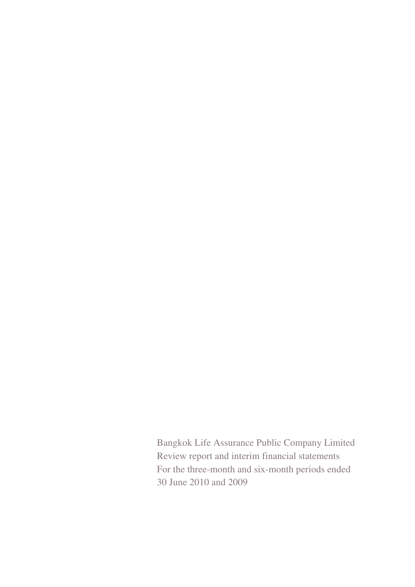Bangkok Life Assurance Public Company Limited Review report and interim financial statements For the three-month and six-month periods ended 30 June 2010 and 2009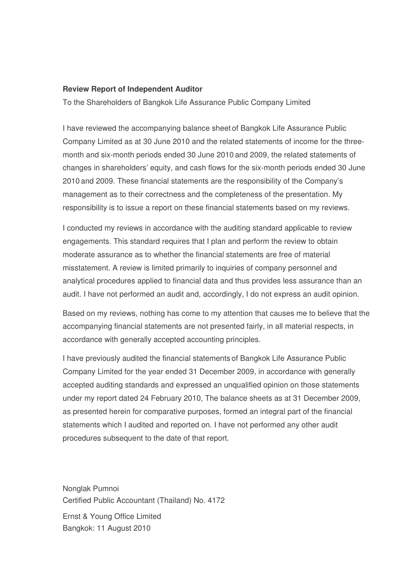### **Review Report of Independent Auditor**

To the Shareholders of Bangkok Life Assurance Public Company Limited

I have reviewed the accompanying balance sheet of Bangkok Life Assurance Public Company Limited as at 30 June 2010 and the related statements of income for the threemonth and six-month periods ended 30 June 2010 and 2009, the related statements of changes in shareholders' equity, and cash flows for the six-month periods ended 30 June 2010 and 2009. These financial statements are the responsibility of the Company's management as to their correctness and the completeness of the presentation. My responsibility is to issue a report on these financial statements based on my reviews.

I conducted my reviews in accordance with the auditing standard applicable to review engagements. This standard requires that I plan and perform the review to obtain moderate assurance as to whether the financial statements are free of material misstatement. A review is limited primarily to inquiries of company personnel and analytical procedures applied to financial data and thus provides less assurance than an audit. I have not performed an audit and, accordingly, I do not express an audit opinion.

Based on my reviews, nothing has come to my attention that causes me to believe that the accompanying financial statements are not presented fairly, in all material respects, in accordance with generally accepted accounting principles.

I have previously audited the financial statements of Bangkok Life Assurance Public Company Limited for the year ended 31 December 2009, in accordance with generally accepted auditing standards and expressed an unqualified opinion on those statements under my report dated 24 February 2010, The balance sheets as at 31 December 2009, as presented herein for comparative purposes, formed an integral part of the financial statements which I audited and reported on. I have not performed any other audit procedures subsequent to the date of that report.

Nonglak Pumnoi Certified Public Accountant (Thailand) No. 4172

Ernst & Young Office Limited Bangkok: 11 August 2010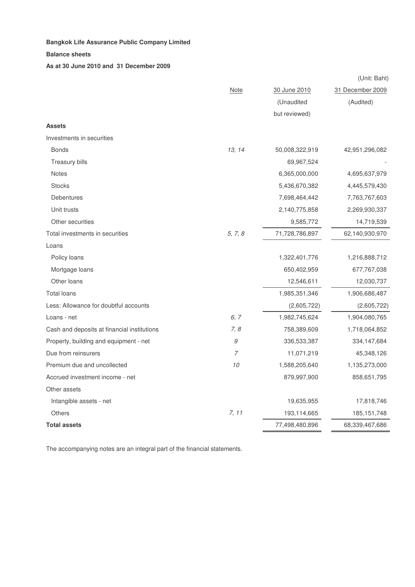#### **Bangkok Life Assurance Public Company Limited** - -  $\mathbf d$

#### **Balance sheets**

**As at 30 June 2010 and 31 December 2009**

|                                             |              |                | (Unit: Baht)     |
|---------------------------------------------|--------------|----------------|------------------|
|                                             | <b>Note</b>  | 30 June 2010   | 31 December 2009 |
|                                             |              | (Unaudited     | (Audited)        |
|                                             |              | but reviewed)  |                  |
| <b>Assets</b>                               |              |                |                  |
| Investments in securities                   |              |                |                  |
| <b>Bonds</b>                                | 13, 14       | 50,008,322,919 | 42,951,296,082   |
| Treasury bills                              |              | 69,967,524     |                  |
| Notes                                       |              | 6,365,000,000  | 4,695,637,979    |
| <b>Stocks</b>                               |              | 5,436,670,382  | 4,445,579,430    |
| Debentures                                  |              | 7,698,464,442  | 7,763,767,603    |
| Unit trusts                                 |              | 2,140,775,858  | 2,269,930,337    |
| Other securities                            |              | 9,585,772      | 14,719,539       |
| Total investments in securities             | 5, 7, 8      | 71,728,786,897 | 62,140,930,970   |
| Loans                                       |              |                |                  |
| Policy loans                                |              | 1,322,401,776  | 1,216,888,712    |
| Mortgage loans                              |              | 650,402,959    | 677,767,038      |
| Other loans                                 |              | 12,546,611     | 12,030,737       |
| <b>Total loans</b>                          |              | 1,985,351,346  | 1,906,686,487    |
| Less: Allowance for doubtful accounts       |              | (2,605,722)    | (2,605,722)      |
| Loans - net                                 | 6, 7         | 1,982,745,624  | 1,904,080,765    |
| Cash and deposits at financial institutions | 7, 8         | 758,389,609    | 1,718,064,852    |
| Property, building and equipment - net      | $\mathcal G$ | 336,533,387    | 334,147,684      |
| Due from reinsurers                         | 7            | 11,071,219     | 45,348,126       |
| Premium due and uncollected                 | $10$         | 1,588,205,640  | 1,135,273,000    |
| Accrued investment income - net             |              | 879,997,900    | 858,651,795      |
| Other assets                                |              |                |                  |
| Intangible assets - net                     |              | 19,635,955     | 17,818,746       |
| <b>Others</b>                               | 7, 11        | 193,114,665    | 185, 151, 748    |
| <b>Total assets</b>                         |              | 77,498,480,896 | 68,339,467,686   |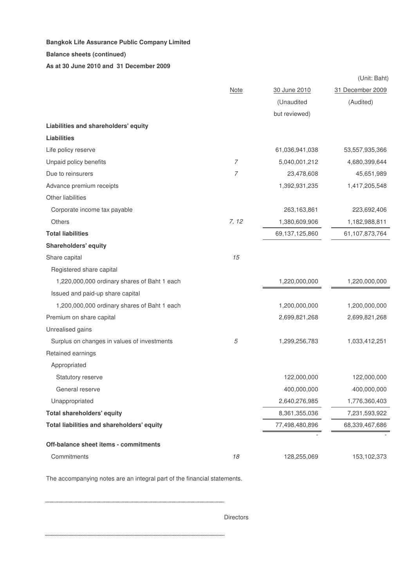### **Balance sheets (continued)**

**As at 30 June 2010 and 31 December 2009**

|                                              |             |                | (Unit: Baht)     |
|----------------------------------------------|-------------|----------------|------------------|
|                                              | <b>Note</b> | 30 June 2010   | 31 December 2009 |
|                                              |             | (Unaudited     | (Audited)        |
|                                              |             | but reviewed)  |                  |
| Liabilities and shareholders' equity         |             |                |                  |
| <b>Liabilities</b>                           |             |                |                  |
| Life policy reserve                          |             | 61,036,941,038 | 53,557,935,366   |
| Unpaid policy benefits                       | 7           | 5,040,001,212  | 4,680,399,644    |
| Due to reinsurers                            | 7           | 23,478,608     | 45,651,989       |
| Advance premium receipts                     |             | 1,392,931,235  | 1,417,205,548    |
| Other liabilities                            |             |                |                  |
| Corporate income tax payable                 |             | 263,163,861    | 223,692,406      |
| <b>Others</b>                                | 7, 12       | 1,380,609,906  | 1,182,988,811    |
| <b>Total liabilities</b>                     |             | 69,137,125,860 | 61,107,873,764   |
| <b>Shareholders' equity</b>                  |             |                |                  |
| Share capital                                | 15          |                |                  |
| Registered share capital                     |             |                |                  |
| 1,220,000,000 ordinary shares of Baht 1 each |             | 1,220,000,000  | 1,220,000,000    |
| Issued and paid-up share capital             |             |                |                  |
| 1,200,000,000 ordinary shares of Baht 1 each |             | 1,200,000,000  | 1,200,000,000    |
| Premium on share capital                     |             | 2,699,821,268  | 2,699,821,268    |
| Unrealised gains                             |             |                |                  |
| Surplus on changes in values of investments  | 5           | 1,299,256,783  | 1,033,412,251    |
| Retained earnings                            |             |                |                  |
| Appropriated                                 |             |                |                  |
| Statutory reserve                            |             | 122,000,000    | 122,000,000      |
| General reserve                              |             | 400,000,000    | 400,000,000      |
| Unappropriated                               |             | 2,640,276,985  | 1,776,360,403    |
| <b>Total shareholders' equity</b>            |             | 8,361,355,036  | 7,231,593,922    |
| Total liabilities and shareholders' equity   |             | 77,498,480,896 | 68,339,467,686   |
|                                              |             |                |                  |
| Off-balance sheet items - commitments        |             |                |                  |
| Commitments                                  | 18          | 128,255,069    | 153,102,373      |

The accompanying notes are an integral part of the financial statements.

Directors

. . . . . . . . . . . . . . . . . . .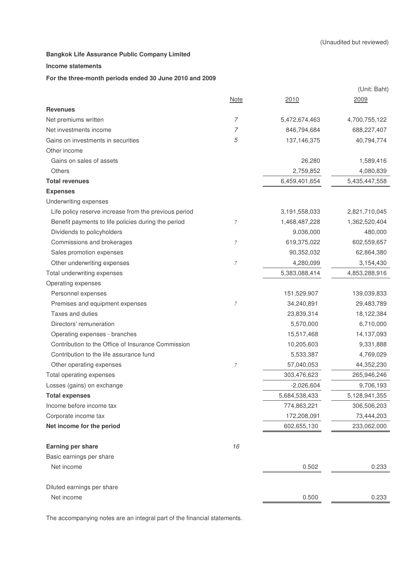### **Income statements**

## **For the three-month periods ended 30 June 2010 and 2009**

|                                                       |                  |                  | (Unit: Baht)  |
|-------------------------------------------------------|------------------|------------------|---------------|
|                                                       | Note             | 2010             | 2009          |
| <b>Revenues</b>                                       |                  |                  |               |
| Net premiums written                                  | 7                | 5,472,674,463    | 4,700,755,122 |
| Net investments income                                | 7                | 846,794,684      | 688,227,407   |
| Gains on investments in securities                    | 5                | 137, 146, 375    | 40,794,774    |
| Other income                                          |                  |                  |               |
| Gains on sales of assets                              |                  | 26,280           | 1,589,416     |
| Others                                                |                  | 2,759,852        | 4,080,839     |
| <b>Total revenues</b>                                 |                  | 6,459,401,654    | 5,435,447,558 |
| <b>Expenses</b>                                       |                  |                  |               |
| Underwriting expenses                                 |                  |                  |               |
| Life policy reserve increase from the previous period |                  | 3, 191, 558, 033 | 2,821,710,045 |
| Benefit payments to life policies during the period   | 7                | 1,468,487,228    | 1,362,520,404 |
| Dividends to policyholders                            |                  | 9,036,000        | 480,000       |
| Commissions and brokerages                            | $\boldsymbol{7}$ | 619,375,022      | 602,559,657   |
| Sales promotion expenses                              |                  | 90,352,032       | 62,864,380    |
| Other underwriting expenses                           | $\boldsymbol{7}$ | 4,280,099        | 3,154,430     |
| Total underwriting expenses                           |                  | 5,383,088,414    | 4,853,288,916 |
| Operating expenses                                    |                  |                  |               |
| Personnel expenses                                    |                  | 151,529,907      | 139,039,833   |
| Premises and equipment expenses                       | 7                | 34,240,891       | 29,483,789    |
| Taxes and duties                                      |                  | 23,839,314       | 18,122,384    |
| Directors' remuneration                               |                  | 5,570,000        | 6,710,000     |
| Operating expenses - branches                         |                  | 15,517,468       | 14,137,093    |
| Contribution to the Office of Insurance Commission    |                  | 10,205,603       | 9,331,888     |
| Contribution to the life assurance fund               |                  | 5,533,387        | 4,769,029     |
| Other operating expenses                              | 7                | 57,040,053       | 44,352,230    |
| Total operating expenses                              |                  | 303,476,623      | 265,946,246   |
| Losses (gains) on exchange                            |                  | $-2,026,604$     | 9,706,193     |
| <b>Total expenses</b>                                 |                  | 5,684,538,433    | 5,128,941,355 |
| Income before income tax                              |                  | 774,863,221      | 306,506,203   |
| Corporate income tax                                  |                  | 172,208,091      | 73,444,203    |
| Net income for the period                             |                  | 602,655,130      | 233,062,000   |
| Earning per share                                     | 16               |                  |               |
| Basic earnings per share                              |                  |                  |               |
| Net income                                            |                  | 0.502            | 0.233         |
| Diluted earnings per share                            |                  |                  |               |
| Net income                                            |                  | 0.500            | 0.233         |
|                                                       |                  |                  |               |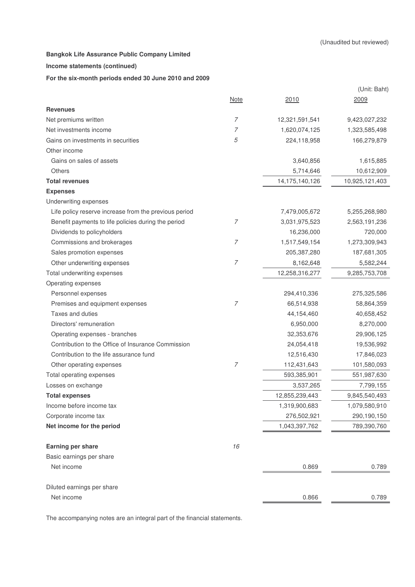## **Income statements (continued)**

## **For the six-month periods ended 30 June 2010 and 2009**

|                                                       |                |                | (Unit: Baht)   |
|-------------------------------------------------------|----------------|----------------|----------------|
|                                                       | <b>Note</b>    | 2010           | 2009           |
| <b>Revenues</b>                                       |                |                |                |
| Net premiums written                                  | $\overline{7}$ | 12,321,591,541 | 9,423,027,232  |
| Net investments income                                | 7              | 1,620,074,125  | 1,323,585,498  |
| Gains on investments in securities                    | 5              | 224,118,958    | 166,279,879    |
| Other income                                          |                |                |                |
| Gains on sales of assets                              |                | 3,640,856      | 1,615,885      |
| Others                                                |                | 5,714,646      | 10,612,909     |
| <b>Total revenues</b>                                 |                | 14,175,140,126 | 10,925,121,403 |
| <b>Expenses</b>                                       |                |                |                |
| Underwriting expenses                                 |                |                |                |
| Life policy reserve increase from the previous period |                | 7,479,005,672  | 5,255,268,980  |
| Benefit payments to life policies during the period   | 7              | 3,031,975,523  | 2,563,191,236  |
| Dividends to policyholders                            |                | 16,236,000     | 720,000        |
| Commissions and brokerages                            | $\overline{7}$ | 1,517,549,154  | 1,273,309,943  |
| Sales promotion expenses                              |                | 205,387,280    | 187,681,305    |
| Other underwriting expenses                           | $\overline{7}$ | 8,162,648      | 5,582,244      |
| Total underwriting expenses                           |                | 12,258,316,277 | 9,285,753,708  |
| Operating expenses                                    |                |                |                |
| Personnel expenses                                    |                | 294,410,336    | 275,325,586    |
| Premises and equipment expenses                       | $\overline{7}$ | 66,514,938     | 58,864,359     |
| Taxes and duties                                      |                | 44,154,460     | 40,658,452     |
| Directors' remuneration                               |                | 6,950,000      | 8,270,000      |
| Operating expenses - branches                         |                | 32,353,676     | 29,906,125     |
| Contribution to the Office of Insurance Commission    |                | 24,054,418     | 19,536,992     |
| Contribution to the life assurance fund               |                | 12,516,430     | 17,846,023     |
| Other operating expenses                              | $\overline{7}$ | 112,431,643    | 101,580,093    |
| Total operating expenses                              |                | 593,385,901    | 551,987,630    |
| Losses on exchange                                    |                | 3,537,265      | 7,799,155      |
| <b>Total expenses</b>                                 |                | 12,855,239,443 | 9,845,540,493  |
| Income before income tax                              |                | 1,319,900,683  | 1,079,580,910  |
| Corporate income tax                                  |                | 276,502,921    | 290,190,150    |
| Net income for the period                             |                | 1,043,397,762  | 789,390,760    |
| Earning per share                                     | 16             |                |                |
| Basic earnings per share                              |                |                |                |
| Net income                                            |                | 0.869          | 0.789          |
| Diluted earnings per share                            |                |                |                |
| Net income                                            |                | 0.866          | 0.789          |
|                                                       |                |                |                |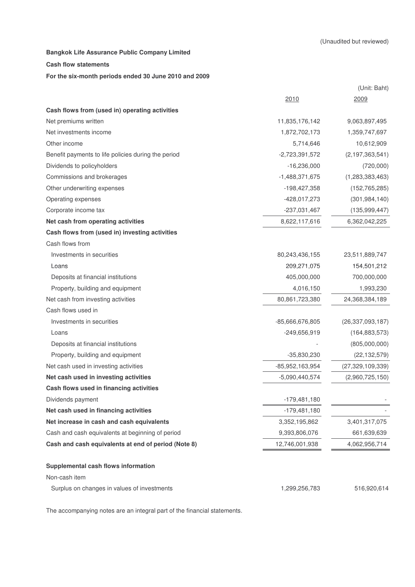#### **Cash flow statements**

#### **For the six-month periods ended 30 June 2010 and 2009**

|                                                     |                  | (Unit: Baht)        |
|-----------------------------------------------------|------------------|---------------------|
|                                                     | 2010             | 2009                |
| Cash flows from (used in) operating activities      |                  |                     |
| Net premiums written                                | 11,835,176,142   | 9,063,897,495       |
| Net investments income                              | 1,872,702,173    | 1,359,747,697       |
| Other income                                        | 5,714,646        | 10,612,909          |
| Benefit payments to life policies during the period | $-2,723,391,572$ | (2, 197, 363, 541)  |
| Dividends to policyholders                          | $-16,236,000$    | (720,000)           |
| Commissions and brokerages                          | $-1,488,371,675$ | (1, 283, 383, 463)  |
| Other underwriting expenses                         | -198,427,358     | (152, 765, 285)     |
| Operating expenses                                  | -428,017,273     | (301, 984, 140)     |
| Corporate income tax                                | -237,031,467     | (135, 999, 447)     |
| Net cash from operating activities                  | 8,622,117,616    | 6,362,042,225       |
| Cash flows from (used in) investing activities      |                  |                     |
| Cash flows from                                     |                  |                     |
| Investments in securities                           | 80,243,436,155   | 23,511,889,747      |
| Loans                                               | 209,271,075      | 154,501,212         |
| Deposits at financial institutions                  | 405,000,000      | 700,000,000         |
| Property, building and equipment                    | 4,016,150        | 1,993,230           |
| Net cash from investing activities                  | 80,861,723,380   | 24,368,384,189      |
| Cash flows used in                                  |                  |                     |
| Investments in securities                           | -85,666,676,805  | (26, 337, 093, 187) |
| Loans                                               | -249,656,919     | (164, 883, 573)     |
| Deposits at financial institutions                  |                  | (805,000,000)       |
| Property, building and equipment                    | -35,830,230      | (22, 132, 579)      |
| Net cash used in investing activities               | -85,952,163,954  | (27, 329, 109, 339) |
| Net cash used in investing activities               | $-5,090,440,574$ | (2,960,725,150)     |
| Cash flows used in financing activities             |                  |                     |
| Dividends payment                                   | $-179,481,180$   |                     |
| Net cash used in financing activities               | $-179,481,180$   |                     |
| Net increase in cash and cash equivalents           | 3,352,195,862    | 3,401,317,075       |
| Cash and cash equivalents at beginning of period    | 9,393,806,076    | 661,639,639         |
| Cash and cash equivalents at end of period (Note 8) | 12,746,001,938   | 4,062,956,714       |
| Supplemental cash flows information                 |                  |                     |
| Non-cash item                                       |                  |                     |
| Surplus on changes in values of investments         | 1,299,256,783    | 516,920,614         |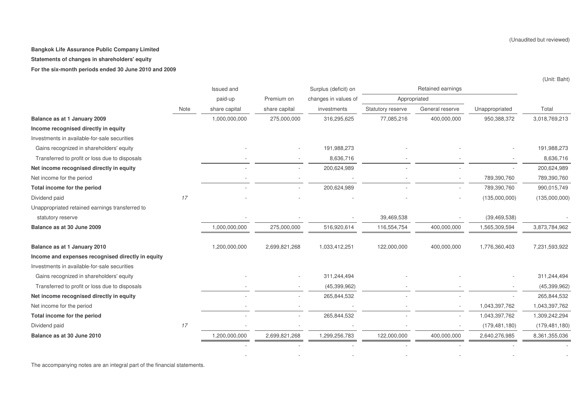**Statements of changes in shareholders' equity**

**For the six-month periods ended 30 June 2010 and 2009**

|                                                   |      | Issued and    |               | Surplus (deficit) on |                   | Retained earnings |                 |                 |
|---------------------------------------------------|------|---------------|---------------|----------------------|-------------------|-------------------|-----------------|-----------------|
|                                                   |      | paid-up       | Premium on    | changes in values of | Appropriated      |                   |                 |                 |
|                                                   | Note | share capital | share capital | investments          | Statutory reserve | General reserve   | Unappropriated  | Total           |
| Balance as at 1 January 2009                      |      | 1,000,000,000 | 275,000,000   | 316,295,625          | 77,085,216        | 400,000,000       | 950,388,372     | 3,018,769,213   |
| Income recognised directly in equity              |      |               |               |                      |                   |                   |                 |                 |
| Investments in available-for-sale securities      |      |               |               |                      |                   |                   |                 |                 |
| Gains recognized in shareholders' equity          |      |               |               | 191,988,273          |                   |                   |                 | 191,988,273     |
| Transferred to profit or loss due to disposals    |      |               |               | 8,636,716            |                   |                   |                 | 8,636,716       |
| Net income recognised directly in equity          |      |               |               | 200,624,989          |                   |                   |                 | 200,624,989     |
| Net income for the period                         |      |               |               |                      |                   |                   | 789,390,760     | 789,390,760     |
| Total income for the period                       |      |               |               | 200,624,989          |                   |                   | 789,390,760     | 990,015,749     |
| Dividend paid                                     | 17   |               |               |                      |                   |                   | (135,000,000)   | (135,000,000)   |
| Unappropriated retained earnings transferred to   |      |               |               |                      |                   |                   |                 |                 |
| statutory reserve                                 |      |               |               |                      | 39,469,538        |                   | (39, 469, 538)  |                 |
| Balance as at 30 June 2009                        |      | 1,000,000,000 | 275,000,000   | 516,920,614          | 116,554,754       | 400,000,000       | 1,565,309,594   | 3,873,784,962   |
| Balance as at 1 January 2010                      |      | 1,200,000,000 | 2,699,821,268 | 1,033,412,251        | 122,000,000       | 400,000,000       | 1,776,360,403   | 7,231,593,922   |
| Income and expenses recognised directly in equity |      |               |               |                      |                   |                   |                 |                 |
| Investments in available-for-sale securities      |      |               |               |                      |                   |                   |                 |                 |
| Gains recognized in shareholders' equity          |      |               |               | 311,244,494          |                   |                   |                 | 311,244,494     |
| Transferred to profit or loss due to disposals    |      |               |               | (45, 399, 962)       |                   |                   |                 | (45, 399, 962)  |
| Net income recognised directly in equity          |      |               |               | 265,844,532          |                   |                   |                 | 265,844,532     |
| Net income for the period                         |      |               |               |                      |                   |                   | 1,043,397,762   | 1,043,397,762   |
| Total income for the period                       |      |               |               | 265,844,532          |                   |                   | 1,043,397,762   | 1,309,242,294   |
| Dividend paid                                     | 17   |               |               |                      |                   |                   | (179, 481, 180) | (179, 481, 180) |
| Balance as at 30 June 2010                        |      | 1,200,000,000 | 2,699,821,268 | 1,299,256,783        | 122,000,000       | 400,000,000       | 2,640,276,985   | 8,361,355,036   |
|                                                   |      |               |               |                      |                   |                   |                 |                 |

- - - - - -

The accompanying notes are an integral part of the financial statements.

(Unaudited but reviewed)

(Unit: Baht)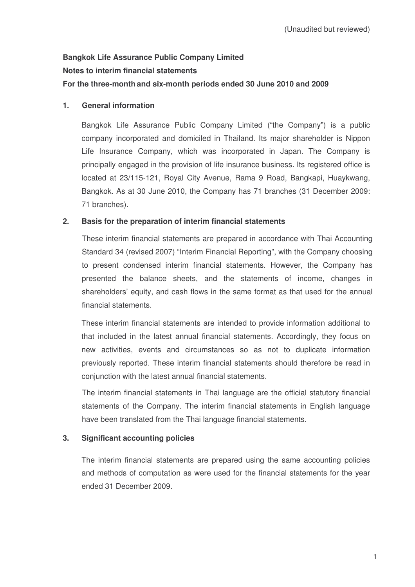# **Bangkok Life Assurance Public Company Limited Notes to interim financial statements For the three-month and six-month periods ended 30 June 2010 and 2009**

## **1. General information**

Bangkok Life Assurance Public Company Limited ("the Company") is a public company incorporated and domiciled in Thailand. Its major shareholder is Nippon Life Insurance Company, which was incorporated in Japan. The Company is principally engaged in the provision of life insurance business. Its registered office is located at 23/115-121, Royal City Avenue, Rama 9 Road, Bangkapi, Huaykwang, Bangkok. As at 30 June 2010, the Company has 71 branches (31 December 2009: 71 branches).

## **2. Basis for the preparation of interim financial statements**

These interim financial statements are prepared in accordance with Thai Accounting Standard 34 (revised 2007) "Interim Financial Reporting", with the Company choosing to present condensed interim financial statements. However, the Company has presented the balance sheets, and the statements of income, changes in shareholders' equity, and cash flows in the same format as that used for the annual financial statements.

These interim financial statements are intended to provide information additional to that included in the latest annual financial statements. Accordingly, they focus on new activities, events and circumstances so as not to duplicate information previously reported. These interim financial statements should therefore be read in conjunction with the latest annual financial statements.

The interim financial statements in Thai language are the official statutory financial statements of the Company. The interim financial statements in English language have been translated from the Thai language financial statements.

## **3. Significant accounting policies**

The interim financial statements are prepared using the same accounting policies and methods of computation as were used for the financial statements for the year ended 31 December 2009.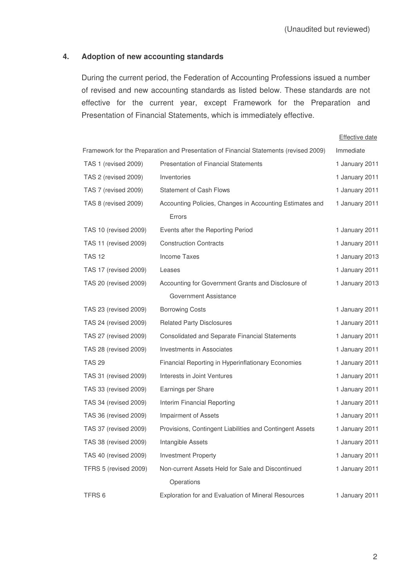## **4. Adoption of new accounting standards**

During the current period, the Federation of Accounting Professions issued a number of revised and new accounting standards as listed below. These standards are not effective for the current year, except Framework for the Preparation and Presentation of Financial Statements, which is immediately effective.

|                       |                                                                                       | <b>Effective date</b> |
|-----------------------|---------------------------------------------------------------------------------------|-----------------------|
|                       | Framework for the Preparation and Presentation of Financial Statements (revised 2009) | Immediate             |
| TAS 1 (revised 2009)  | <b>Presentation of Financial Statements</b>                                           | 1 January 2011        |
| TAS 2 (revised 2009)  | Inventories                                                                           | 1 January 2011        |
| TAS 7 (revised 2009)  | <b>Statement of Cash Flows</b>                                                        | 1 January 2011        |
| TAS 8 (revised 2009)  | Accounting Policies, Changes in Accounting Estimates and                              | 1 January 2011        |
|                       | Errors                                                                                |                       |
| TAS 10 (revised 2009) | Events after the Reporting Period                                                     | 1 January 2011        |
| TAS 11 (revised 2009) | <b>Construction Contracts</b>                                                         | 1 January 2011        |
| <b>TAS 12</b>         | <b>Income Taxes</b>                                                                   | 1 January 2013        |
| TAS 17 (revised 2009) | Leases                                                                                | 1 January 2011        |
| TAS 20 (revised 2009) | Accounting for Government Grants and Disclosure of                                    | 1 January 2013        |
|                       | <b>Government Assistance</b>                                                          |                       |
| TAS 23 (revised 2009) | <b>Borrowing Costs</b>                                                                | 1 January 2011        |
| TAS 24 (revised 2009) | <b>Related Party Disclosures</b>                                                      | 1 January 2011        |
| TAS 27 (revised 2009) | <b>Consolidated and Separate Financial Statements</b>                                 | 1 January 2011        |
| TAS 28 (revised 2009) | <b>Investments in Associates</b>                                                      | 1 January 2011        |
| <b>TAS 29</b>         | Financial Reporting in Hyperinflationary Economies                                    | 1 January 2011        |
| TAS 31 (revised 2009) | Interests in Joint Ventures                                                           | 1 January 2011        |
| TAS 33 (revised 2009) | Earnings per Share                                                                    | 1 January 2011        |
| TAS 34 (revised 2009) | Interim Financial Reporting                                                           | 1 January 2011        |
| TAS 36 (revised 2009) | <b>Impairment of Assets</b>                                                           | 1 January 2011        |
| TAS 37 (revised 2009) | Provisions, Contingent Liabilities and Contingent Assets                              | 1 January 2011        |
| TAS 38 (revised 2009) | Intangible Assets                                                                     | 1 January 2011        |
| TAS 40 (revised 2009) | <b>Investment Property</b>                                                            | 1 January 2011        |
| TFRS 5 (revised 2009) | Non-current Assets Held for Sale and Discontinued                                     | 1 January 2011        |
|                       | Operations                                                                            |                       |
| TFRS <sub>6</sub>     | Exploration for and Evaluation of Mineral Resources                                   | 1 January 2011        |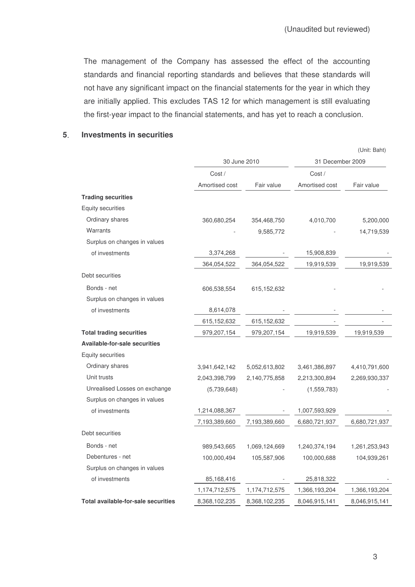The management of the Company has assessed the effect of the accounting standards and financial reporting standards and believes that these standards will not have any significant impact on the financial statements for the year in which they are initially applied. This excludes TAS 12 for which management is still evaluating the first-year impact to the financial statements, and has yet to reach a conclusion.

## **5 Investments in securities**

|                                      |                |               |                  | (Unit: Baht)  |
|--------------------------------------|----------------|---------------|------------------|---------------|
|                                      |                | 30 June 2010  | 31 December 2009 |               |
|                                      | Cost /         |               | Cost /           |               |
|                                      | Amortised cost | Fair value    | Amortised cost   | Fair value    |
| <b>Trading securities</b>            |                |               |                  |               |
| <b>Equity securities</b>             |                |               |                  |               |
| Ordinary shares                      | 360,680,254    | 354,468,750   | 4,010,700        | 5,200,000     |
| Warrants                             |                | 9,585,772     |                  | 14,719,539    |
| Surplus on changes in values         |                |               |                  |               |
| of investments                       | 3,374,268      |               | 15,908,839       |               |
|                                      | 364,054,522    | 364,054,522   | 19,919,539       | 19,919,539    |
| Debt securities                      |                |               |                  |               |
| Bonds - net                          | 606,538,554    | 615,152,632   |                  |               |
| Surplus on changes in values         |                |               |                  |               |
| of investments                       | 8,614,078      |               |                  |               |
|                                      | 615,152,632    | 615,152,632   |                  |               |
| <b>Total trading securities</b>      | 979,207,154    | 979,207,154   | 19,919,539       | 19,919,539    |
| <b>Available-for-sale securities</b> |                |               |                  |               |
| Equity securities                    |                |               |                  |               |
| Ordinary shares                      | 3,941,642,142  | 5,052,613,802 | 3,461,386,897    | 4,410,791,600 |
| Unit trusts                          | 2,043,398,799  | 2,140,775,858 | 2,213,300,894    | 2,269,930,337 |
| Unrealised Losses on exchange        | (5,739,648)    |               | (1,559,783)      |               |
| Surplus on changes in values         |                |               |                  |               |
| of investments                       | 1,214,088,367  |               | 1,007,593,929    |               |
|                                      | 7,193,389,660  | 7,193,389,660 | 6,680,721,937    | 6,680,721,937 |
| Debt securities                      |                |               |                  |               |
| Bonds - net                          | 989,543,665    | 1,069,124,669 | 1,240,374,194    | 1,261,253,943 |
| Debentures - net                     | 100,000,494    | 105,587,906   | 100,000,688      | 104,939,261   |
| Surplus on changes in values         |                |               |                  |               |
| of investments                       | 85,168,416     |               | 25,818,322       |               |
|                                      | 1,174,712,575  | 1,174,712,575 | 1,366,193,204    | 1,366,193,204 |
| Total available-for-sale securities  | 8,368,102,235  | 8,368,102,235 | 8,046,915,141    | 8,046,915,141 |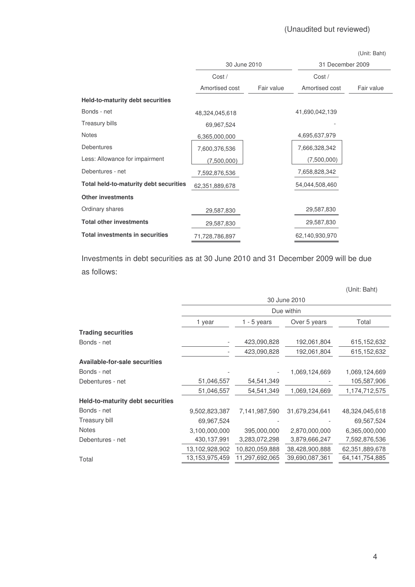|                                         |                |            |                  | (Unit: Baht) |
|-----------------------------------------|----------------|------------|------------------|--------------|
|                                         | 30 June 2010   |            | 31 December 2009 |              |
|                                         | Cost /         |            | Cost/            |              |
|                                         | Amortised cost | Fair value | Amortised cost   | Fair value   |
| <b>Held-to-maturity debt securities</b> |                |            |                  |              |
| Bonds - net                             | 48,324,045,618 |            | 41,690,042,139   |              |
| <b>Treasury bills</b>                   | 69,967,524     |            |                  |              |
| <b>Notes</b>                            | 6,365,000,000  |            | 4,695,637,979    |              |
| <b>Debentures</b>                       | 7,600,376,536  |            | 7,666,328,342    |              |
| Less: Allowance for impairment          | (7,500,000)    |            | (7,500,000)      |              |
| Debentures - net                        | 7,592,876,536  |            | 7,658,828,342    |              |
| Total held-to-maturity debt securities  | 62,351,889,678 |            | 54,044,508,460   |              |
| <b>Other investments</b>                |                |            |                  |              |
| Ordinary shares                         | 29,587,830     |            | 29,587,830       |              |
| <b>Total other investments</b>          | 29,587,830     |            | 29,587,830       |              |
| <b>Total investments in securities</b>  | 71,728,786,897 |            | 62,140,930,970   |              |

Investments in debt securities as at 30 June 2010 and 31 December 2009 will be due as follows

|                                         | 30 June 2010      |                |                |                   |  |  |
|-----------------------------------------|-------------------|----------------|----------------|-------------------|--|--|
|                                         | Due within        |                |                |                   |  |  |
|                                         | 1 year            | $1 - 5$ years  | Over 5 years   | Total             |  |  |
| <b>Trading securities</b>               |                   |                |                |                   |  |  |
| Bonds - net                             |                   | 423,090,828    | 192,061,804    | 615,152,632       |  |  |
|                                         |                   | 423,090,828    | 192,061,804    | 615,152,632       |  |  |
| <b>Available-for-sale securities</b>    |                   |                |                |                   |  |  |
| Bonds - net                             |                   |                | 1,069,124,669  | 1,069,124,669     |  |  |
| Debentures - net                        | 51,046,557        | 54,541,349     |                | 105,587,906       |  |  |
|                                         | 51,046,557        | 54,541,349     | 1,069,124,669  | 1,174,712,575     |  |  |
| <b>Held-to-maturity debt securities</b> |                   |                |                |                   |  |  |
| Bonds - net                             | 9,502,823,387     | 7,141,987,590  | 31,679,234,641 | 48,324,045,618    |  |  |
| <b>Treasury bill</b>                    | 69,967,524        |                |                | 69,567,524        |  |  |
| Notes                                   | 3,100,000,000     | 395,000,000    | 2,870,000,000  | 6,365,000,000     |  |  |
| Debentures - net                        | 430,137,991       | 3,283,072,298  | 3,879,666,247  | 7,592,876,536     |  |  |
|                                         | 13,102,928,902    | 10,820,059,888 | 38,428,900,888 | 62,351,889,678    |  |  |
| Total                                   | 13, 153, 975, 459 | 11,297,692,065 | 39,690,087,361 | 64, 141, 754, 885 |  |  |

4

(Unit: Baht)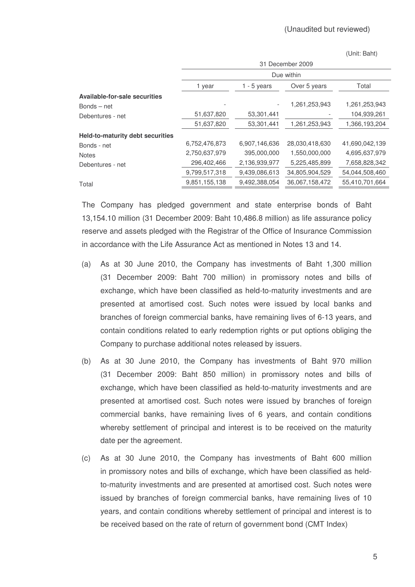(Unit: Baht)

|                                  | 31 December 2009 |               |                |                |  |  |
|----------------------------------|------------------|---------------|----------------|----------------|--|--|
|                                  | Due within       |               |                |                |  |  |
|                                  | 1 year           | 1 - 5 years   | Over 5 years   | Total          |  |  |
| Available-for-sale securities    |                  |               |                |                |  |  |
| $Bonds - net$                    |                  |               | 1,261,253,943  | 1,261,253,943  |  |  |
| Debentures - net                 | 51,637,820       | 53,301,441    |                | 104,939,261    |  |  |
|                                  | 51,637,820       | 53,301,441    | 1,261,253,943  | 1,366,193,204  |  |  |
| Held-to-maturity debt securities |                  |               |                |                |  |  |
| Bonds - net                      | 6,752,476,873    | 6,907,146,636 | 28,030,418,630 | 41,690,042,139 |  |  |
| <b>Notes</b>                     | 2,750,637,979    | 395,000,000   | 1,550,000,000  | 4,695,637,979  |  |  |
| Debentures - net                 | 296,402,466      | 2,136,939,977 | 5,225,485,899  | 7,658,828,342  |  |  |
|                                  | 9,799,517,318    | 9,439,086,613 | 34,805,904,529 | 54,044,508,460 |  |  |
| Total                            | 9,851,155,138    | 9,492,388,054 | 36,067,158,472 | 55,410,701,664 |  |  |

The Company has pledged government and state enterprise bonds of Baht 13,154.10 million (31 December 2009: Baht 10,486.8 million) as life assurance policy reserve and assets pledged with the Registrar of the Office of Insurance Commission in accordance with the Life Assurance Act as mentioned in Notes 13 and 14.

- (a) As at 30 June 2010, the Company has investments of Baht 1,300 million (31 December 2009: Baht 700 million) in promissory notes and bills of exchange, which have been classified as held-to-maturity investments and are presented at amortised cost. Such notes were issued by local banks and branches of foreign commercial banks, have remaining lives of 6-13 years, and contain conditions related to early redemption rights or put options obliging the Company to purchase additional notes released by issuers.
- (b) As at 30 June 2010, the Company has investments of Baht 970 million (31 December 2009: Baht 850 million) in promissory notes and bills of exchange, which have been classified as held-to-maturity investments and are presented at amortised cost. Such notes were issued by branches of foreign commercial banks, have remaining lives of 6 years, and contain conditions whereby settlement of principal and interest is to be received on the maturity date per the agreement.
- (c) As at 30 June 2010, the Company has investments of Baht 600 million in promissory notes and bills of exchange, which have been classified as heldto-maturity investments and are presented at amortised cost. Such notes were issued by branches of foreign commercial banks, have remaining lives of 10 years, and contain conditions whereby settlement of principal and interest is to be received based on the rate of return of government bond (CMT Index)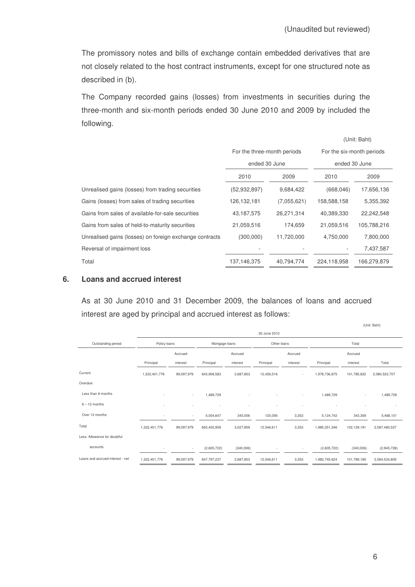The promissory notes and bills of exchange contain embedded derivatives that are not closely related to the host contract instruments, except for one structured note as described in (b).

The Company recorded gains (losses) from investments in securities during the three-month and six-month periods ended 30 June 2010 and 2009 by included the following.

|                                                         |                             |             |                           | (Unit: Baht)  |  |
|---------------------------------------------------------|-----------------------------|-------------|---------------------------|---------------|--|
|                                                         | For the three-month periods |             | For the six-month periods |               |  |
|                                                         | ended 30 June               |             |                           | ended 30 June |  |
|                                                         | 2010                        | 2009        | 2010                      | 2009          |  |
| Unrealised gains (losses) from trading securities       | (52, 932, 897)              | 9,684,422   | (668, 046)                | 17,656,136    |  |
| Gains (losses) from sales of trading securities         | 126, 132, 181               | (7,055,621) | 158,588,158               | 5,355,392     |  |
| Gains from sales of available-for-sale securities       | 43,187,575                  | 26,271,314  | 40,389,330                | 22,242,548    |  |
| Gains from sales of held-to-maturity securities         | 21,059,516                  | 174,659     | 21,059,516                | 105,788,216   |  |
| Unrealised gains (losses) on foreign exchange contracts | (300,000)                   | 11,720,000  | 4,750,000                 | 7,800,000     |  |
| Reversal of impairment loss                             |                             |             |                           | 7,437,587     |  |
| Total                                                   | 137, 146, 375               | 40,794,774  | 224,118,958               | 166,279,879   |  |

## **6. Loans and accrued interest**

As at 30 June 2010 and 31 December 2009, the balances of loans and accrued interest are aged by principal and accrued interest as follows:

|                                  |               |                          |                |           |              |                          |               |                          | (UIIII. DaHI) |
|----------------------------------|---------------|--------------------------|----------------|-----------|--------------|--------------------------|---------------|--------------------------|---------------|
|                                  |               |                          |                |           | 30 June 2010 |                          |               |                          |               |
| Outstanding period               | Policy loans  |                          | Mortgage loans |           | Other loans  |                          |               | Total                    |               |
|                                  |               | Accrued                  |                | Accrued   |              | Accrued                  |               | Accrued                  |               |
|                                  | Principal     | interest                 | Principal      | interest  | Principal    | interest                 | Principal     | interest                 | Total         |
| Current                          | 1,322,401,776 | 99,097,979               | 643,908,583    | 2,687,853 | 12,426,516   | $\sim$                   | 1,978,736,875 | 101,785,832              | 2,080,522,707 |
| Overdue:                         |               |                          |                |           |              |                          |               |                          |               |
| Less than 6 months               |               | $\overline{\phantom{a}}$ | 1,489,729      |           |              | $\overline{\phantom{a}}$ | 1,489,729     | $\overline{\phantom{a}}$ | 1,489,729     |
| $6 - 12$ months                  |               |                          |                |           |              |                          |               |                          |               |
| Over 12 months                   |               | ٠                        | 5,004,647      | 340,006   | 120,095      | 3,353                    | 5,124,742     | 343,359                  | 5,468,101     |
| Total                            | 1,322,401,776 | 99,097,979               | 650,402,959    | 3,027,859 | 12,546,611   | 3,353                    | 1,985,351,346 | 102,129,191              | 2,087,480,537 |
| Less: Allowance for doubtful     |               |                          |                |           |              |                          |               |                          |               |
| accounts                         |               | ٠                        | (2,605,722)    | (340,006) |              | $\overline{\phantom{a}}$ | (2,605,722)   | (340,006)                | (2,945,728)   |
| Loans and accrued interest - net | 1,322,401,776 | 99,097,979               | 647,797,237    | 2,687,853 | 12,546,611   | 3,353                    | 1,982,745,624 | 101,789,185              | 2,084,534,809 |

(Unit: Baht)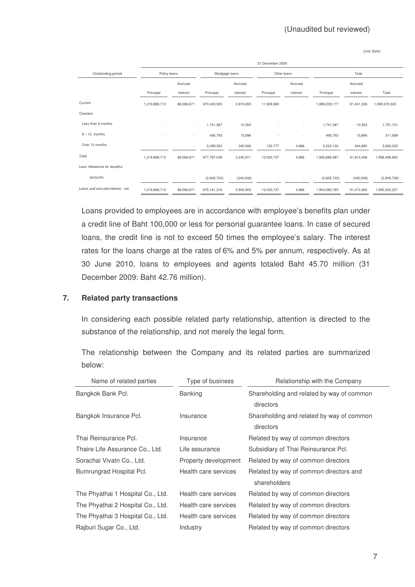(Unit: Baht)

|                                  |               | 31 December 2009         |               |                |            |                |               |            |               |  |
|----------------------------------|---------------|--------------------------|---------------|----------------|------------|----------------|---------------|------------|---------------|--|
| Outstanding period               | Policy loans  |                          |               | Mortgage loans |            | Other loans    |               | Total      |               |  |
|                                  |               | Accrued                  |               | Accrued        |            | Accrued        |               | Accrued    |               |  |
|                                  | Principal     | interest                 | Principal     | interest       | Principal  | interest       | Principal     | interest   | Total         |  |
| Current                          | 1,216,888,712 | 88,566,671               | 670,430,505   | 2,874,655      | 11,909,960 | ٠.             | 1,899,229,177 | 91,441,326 | 1,990,670,503 |  |
| Overdue:                         |               |                          |               |                |            |                |               |            |               |  |
| Less than 6 months               | ٠             | $\sim$                   | 1,741,387     | 10,354         |            | ٠.             | 1,741,387     | 10,354     | 1,751,741     |  |
| $6 - 12$ months                  | ٠             | $\overline{\phantom{a}}$ | 495,793       | 15,896         |            | $\overline{a}$ | 495,793       | 15,896     | 511,689       |  |
| Over 12 months                   | ٠             | $\overline{\phantom{a}}$ | 5,099,353     | 340,006        | 120,777    | 4,886          | 5,220,130     | 344,892    | 5,565,022     |  |
| Total                            | 1,216,888,712 | 88,566,671               | 677,767,038   | 3,240,911      | 12,030,737 | 4,886          | 1,906,686,487 | 91,812,468 | 1,998,498,955 |  |
| Less: Allowance for doubtful     |               |                          |               |                |            |                |               |            |               |  |
| accounts                         |               | $\overline{\phantom{a}}$ | (2,605,722)   | (340,006)      |            | ٠              | (2,605,722)   | (340,006)  | (2,945,728)   |  |
| Loans and accrued interest - net | 1,216,888,712 | 88,566,671               | 675, 161, 316 | 2,900,905      | 12,030,737 | 4,886          | 1,904,080,765 | 91,472,462 | 1,995,553,227 |  |

Loans provided to employees are in accordance with employee's benefits plan under a credit line of Baht 100,000 or less for personal guarantee loans. In case of secured loans, the credit line is not to exceed 50 times the employee's salary. The interest rates for the loans charge at the rates of 6% and 5% per annum, respectively. As at 30 June 2010, loans to employees and agents totaled Baht 45.70 million (31 December 2009: Baht 42.76 million).

## **7. Related party transactions**

In considering each possible related party relationship, attention is directed to the substance of the relationship, and not merely the legal form.

The relationship between the Company and its related parties are summarized below: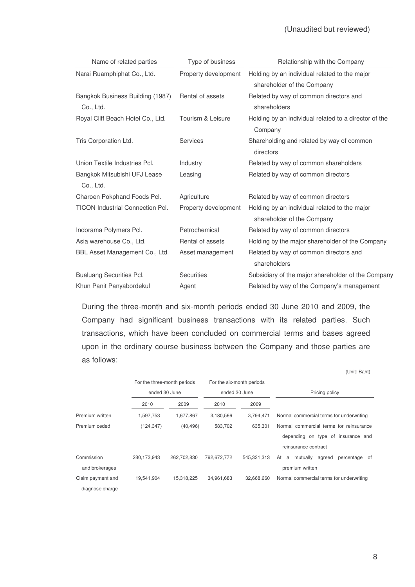| Name of related parties                       | Type of business     | Relationship with the Company                                               |
|-----------------------------------------------|----------------------|-----------------------------------------------------------------------------|
| Narai Ruamphiphat Co., Ltd.                   | Property development | Holding by an individual related to the major<br>shareholder of the Company |
| Bangkok Business Building (1987)<br>Co., Ltd. | Rental of assets     | Related by way of common directors and<br>shareholders                      |
| Royal Cliff Beach Hotel Co., Ltd.             | Tourism & Leisure    | Holding by an individual related to a director of the<br>Company            |
| Tris Corporation Ltd.                         | <b>Services</b>      | Shareholding and related by way of common<br>directors                      |
| Union Textile Industries Pcl.                 | Industry             | Related by way of common shareholders                                       |
| Bangkok Mitsubishi UFJ Lease<br>Co., Ltd.     | Leasing              | Related by way of common directors                                          |
| Charoen Pokphand Foods Pcl.                   | Agriculture          | Related by way of common directors                                          |
| <b>TICON Industrial Connection Pcl.</b>       | Property development | Holding by an individual related to the major<br>shareholder of the Company |
| Indorama Polymers Pcl.                        | Petrochemical        | Related by way of common directors                                          |
| Asia warehouse Co., Ltd.                      | Rental of assets     | Holding by the major shareholder of the Company                             |
| BBL Asset Management Co., Ltd.                | Asset management     | Related by way of common directors and<br>shareholders                      |
| <b>Bualuang Securities Pcl.</b>               | <b>Securities</b>    | Subsidiary of the major shareholder of the Company                          |
| Khun Panit Panyabordekul                      | Agent                | Related by way of the Company's management                                  |

During the three-month and six-month periods ended 30 June 2010 and 2009, the Company had significant business transactions with its related parties. Such transactions, which have been concluded on commercial terms and bases agreed upon in the ordinary course business between the Company and those parties are as follows:

|                   |                             |             |               |                           | (Unit: Baht)                                |
|-------------------|-----------------------------|-------------|---------------|---------------------------|---------------------------------------------|
|                   | For the three-month periods |             |               | For the six-month periods |                                             |
|                   | ended 30 June               |             | ended 30 June |                           | Pricing policy                              |
|                   | 2010                        | 2009        | 2010          | 2009                      |                                             |
| Premium written   | 1,597,753                   | 1,677,867   | 3,180,566     | 3.794.471                 | Normal commercial terms for underwriting    |
| Premium ceded     | (124, 347)                  | (40, 496)   | 583,702       | 635.301                   | Normal commercial terms for reinsurance     |
|                   |                             |             |               |                           | depending on type of insurance and          |
|                   |                             |             |               |                           | reinsurance contract                        |
| Commission        | 280,173,943                 | 262,702,830 | 792,672,772   | 545,331,313               | a mutually<br>agreed<br>At<br>percentage of |
| and brokerages    |                             |             |               |                           | premium written                             |
| Claim payment and | 19,541,904                  | 15,318,225  | 34,961,683    | 32.668.660                | Normal commercial terms for underwriting    |
| diagnose charge   |                             |             |               |                           |                                             |

8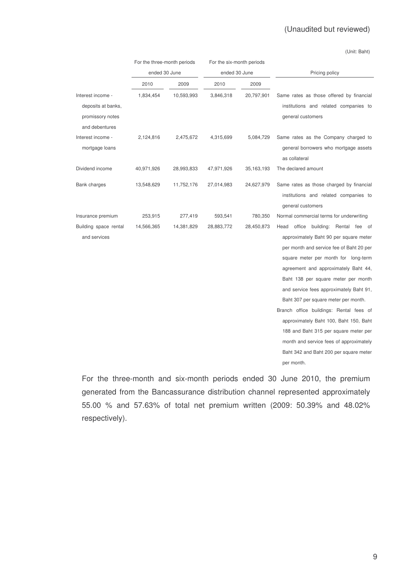(Unit: Baht)

|                                                                               | For the three-month periods |            | For the six-month periods |              |                                                                                                                                                                                                                                                                                                                                                                                                                                                                                                                                                                         |
|-------------------------------------------------------------------------------|-----------------------------|------------|---------------------------|--------------|-------------------------------------------------------------------------------------------------------------------------------------------------------------------------------------------------------------------------------------------------------------------------------------------------------------------------------------------------------------------------------------------------------------------------------------------------------------------------------------------------------------------------------------------------------------------------|
|                                                                               | ended 30 June               |            | ended 30 June             |              | Pricing policy                                                                                                                                                                                                                                                                                                                                                                                                                                                                                                                                                          |
|                                                                               | 2010                        | 2009       | 2010                      | 2009         |                                                                                                                                                                                                                                                                                                                                                                                                                                                                                                                                                                         |
| Interest income -<br>deposits at banks,<br>promissory notes<br>and debentures | 1,834,454                   | 10,593,993 | 3,846,318                 | 20,797,901   | Same rates as those offered by financial<br>institutions and related companies to<br>general customers                                                                                                                                                                                                                                                                                                                                                                                                                                                                  |
| Interest income -<br>mortgage loans                                           | 2,124,816                   | 2,475,672  | 4,315,699                 | 5,084,729    | Same rates as the Company charged to<br>general borrowers who mortgage assets<br>as collateral                                                                                                                                                                                                                                                                                                                                                                                                                                                                          |
| Dividend income                                                               | 40,971,926                  | 28,993,833 | 47,971,926                | 35, 163, 193 | The declared amount                                                                                                                                                                                                                                                                                                                                                                                                                                                                                                                                                     |
| Bank charges                                                                  | 13,548,629                  | 11,752,176 | 27,014,983                | 24,627,979   | Same rates as those charged by financial<br>institutions and related companies to<br>general customers                                                                                                                                                                                                                                                                                                                                                                                                                                                                  |
| Insurance premium                                                             | 253,915                     | 277,419    | 593,541                   | 780,350      | Normal commercial terms for underwriting                                                                                                                                                                                                                                                                                                                                                                                                                                                                                                                                |
| Building space rental<br>and services                                         | 14,566,365                  | 14,381,829 | 28,883,772                | 28,450,873   | office building: Rental fee of<br>Head<br>approximately Baht 90 per square meter<br>per month and service fee of Baht 20 per<br>square meter per month for long-term<br>agreement and approximately Baht 44,<br>Baht 138 per square meter per month<br>and service fees approximately Baht 91,<br>Baht 307 per square meter per month.<br>Branch office buildings: Rental fees of<br>approximately Baht 100, Baht 150, Baht<br>188 and Baht 315 per square meter per<br>month and service fees of approximately<br>Baht 342 and Baht 200 per square meter<br>per month. |

For the three-month and six-month periods ended 30 June 2010, the premium generated from the Bancassurance distribution channel represented approximately 55.00 % and 57.63% of total net premium written (2009: 50.39% and 48.02% respectively).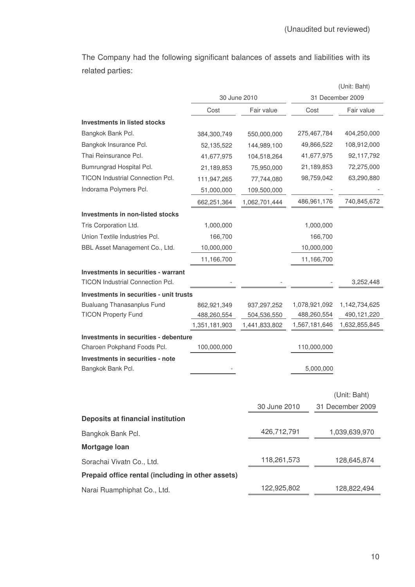The Company had the following significant balances of assets and liabilities with its related parties:

|                                                                                |               |               |               | (Unit: Baht)     |
|--------------------------------------------------------------------------------|---------------|---------------|---------------|------------------|
|                                                                                |               | 30 June 2010  |               | 31 December 2009 |
|                                                                                | Cost          | Fair value    | Cost          | Fair value       |
| <b>Investments in listed stocks</b>                                            |               |               |               |                  |
| Bangkok Bank Pcl.                                                              | 384,300,749   | 550,000,000   | 275,467,784   | 404,250,000      |
| Bangkok Insurance Pcl.                                                         | 52,135,522    | 144,989,100   | 49,866,522    | 108,912,000      |
| Thai Reinsurance Pcl.                                                          | 41,677,975    | 104,518,264   | 41,677,975    | 92,117,792       |
| Bumrungrad Hospital Pcl.                                                       | 21,189,853    | 75,950,000    | 21,189,853    | 72,275,000       |
| TICON Industrial Connection Pcl.                                               | 111,947,265   | 77,744,080    | 98,759,042    | 63,290,880       |
| Indorama Polymers Pcl.                                                         | 51,000,000    | 109,500,000   |               |                  |
|                                                                                | 662,251,364   | 1,062,701,444 | 486,961,176   | 740,845,672      |
| Investments in non-listed stocks                                               |               |               |               |                  |
| Tris Corporation Ltd.                                                          | 1,000,000     |               | 1,000,000     |                  |
| Union Textile Industries Pcl.                                                  | 166,700       |               | 166,700       |                  |
| BBL Asset Management Co., Ltd.                                                 | 10,000,000    |               | 10,000,000    |                  |
|                                                                                | 11,166,700    |               | 11,166,700    |                  |
| Investments in securities - warrant<br><b>TICON Industrial Connection Pcl.</b> |               |               |               | 3,252,448        |
| Investments in securities - unit trusts                                        |               |               |               |                  |
| <b>Bualuang Thanasanplus Fund</b>                                              | 862,921,349   | 937,297,252   | 1,078,921,092 | 1,142,734,625    |
| <b>TICON Property Fund</b>                                                     | 488,260,554   | 504,536,550   | 488,260,554   | 490,121,220      |
|                                                                                | 1,351,181,903 | 1,441,833,802 | 1,567,181,646 | 1,632,855,845    |
| Investments in securities - debenture<br>Charoen Pokphand Foods Pcl.           | 100,000,000   |               | 110,000,000   |                  |
| Investments in securities - note                                               |               |               |               |                  |
| Bangkok Bank Pcl.                                                              |               |               | 5,000,000     |                  |
|                                                                                |               |               |               | (Unit: Baht)     |
|                                                                                |               | 30 June 2010  |               | 31 December 2009 |
| Deposits at financial institution                                              |               |               |               |                  |
| Bangkok Bank Pcl.                                                              |               | 426,712,791   |               | 1,039,639,970    |
| Mortgage Ioan                                                                  |               |               |               |                  |
| Sorachai Vivatn Co., Ltd.                                                      |               | 118,261,573   |               | 128,645,874      |
| Prepaid office rental (including in other assets)                              |               |               |               |                  |
| Narai Ruamphiphat Co., Ltd.                                                    |               | 122,925,802   |               | 128,822,494      |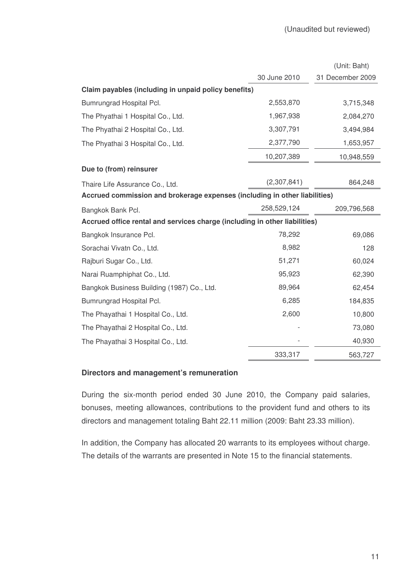|                                                                            |              | (Unit: Baht)     |
|----------------------------------------------------------------------------|--------------|------------------|
|                                                                            | 30 June 2010 | 31 December 2009 |
| Claim payables (including in unpaid policy benefits)                       |              |                  |
| Bumrungrad Hospital Pcl.                                                   | 2,553,870    | 3,715,348        |
| The Phyathai 1 Hospital Co., Ltd.                                          | 1,967,938    | 2,084,270        |
| The Phyathai 2 Hospital Co., Ltd.                                          | 3,307,791    | 3,494,984        |
| The Phyathai 3 Hospital Co., Ltd.                                          | 2,377,790    | 1,653,957        |
|                                                                            | 10,207,389   | 10,948,559       |
| Due to (from) reinsurer                                                    |              |                  |
| Thaire Life Assurance Co., Ltd.                                            | (2,307,841)  | 864,248          |
| Accrued commission and brokerage expenses (including in other liabilities) |              |                  |
| Bangkok Bank Pcl.                                                          | 258,529,124  | 209,796,568      |
| Accrued office rental and services charge (including in other liabilities) |              |                  |
| Bangkok Insurance Pcl.                                                     | 78,292       | 69,086           |
| Sorachai Vivatn Co., Ltd.                                                  | 8,982        | 128              |
| Rajburi Sugar Co., Ltd.                                                    | 51,271       | 60,024           |
| Narai Ruamphiphat Co., Ltd.                                                | 95,923       | 62,390           |
| Bangkok Business Building (1987) Co., Ltd.                                 | 89,964       | 62,454           |
| Bumrungrad Hospital Pcl.                                                   | 6,285        | 184,835          |
| The Phayathai 1 Hospital Co., Ltd.                                         | 2,600        | 10,800           |
| The Phayathai 2 Hospital Co., Ltd.                                         |              | 73,080           |
| The Phayathai 3 Hospital Co., Ltd.                                         |              | 40,930           |
|                                                                            | 333,317      | 563,727          |

## **Directors and management's remuneration**

During the six-month period ended 30 June 2010, the Company paid salaries, bonuses, meeting allowances, contributions to the provident fund and others to its directors and management totaling Baht 22.11 million (2009: Baht 23.33 million).

In addition, the Company has allocated 20 warrants to its employees without charge. The details of the warrants are presented in Note 15 to the financial statements.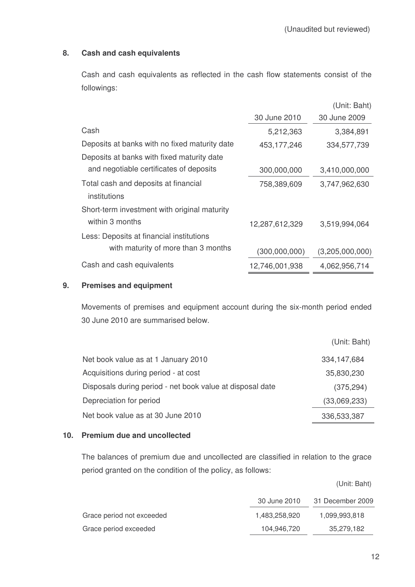## **8. Cash and cash equivalents**

Cash and cash equivalents as reflected in the cash flow statements consist of the followings:

|                                               |                | (Unit: Baht)    |
|-----------------------------------------------|----------------|-----------------|
|                                               | 30 June 2010   | 30 June 2009    |
| Cash                                          | 5,212,363      | 3,384,891       |
| Deposits at banks with no fixed maturity date | 453, 177, 246  | 334,577,739     |
| Deposits at banks with fixed maturity date    |                |                 |
| and negotiable certificates of deposits       | 300,000,000    | 3,410,000,000   |
| Total cash and deposits at financial          | 758,389,609    | 3,747,962,630   |
| institutions                                  |                |                 |
| Short-term investment with original maturity  |                |                 |
| within 3 months                               | 12,287,612,329 | 3,519,994,064   |
| Less: Deposits at financial institutions      |                |                 |
| with maturity of more than 3 months           | (300,000,000)  | (3,205,000,000) |
| Cash and cash equivalents                     | 12,746,001,938 | 4,062,956,714   |

## **9. Premises and equipment**

Movements of premises and equipment account during the six-month period ended 30 June 2010 are summarised below.

|                                                           | (Unit: Baht)  |
|-----------------------------------------------------------|---------------|
| Net book value as at 1 January 2010                       | 334, 147, 684 |
| Acquisitions during period - at cost                      | 35,830,230    |
| Disposals during period - net book value at disposal date | (375, 294)    |
| Depreciation for period                                   | (33,069,233)  |
| Net book value as at 30 June 2010                         | 336,533,387   |

## **10. Premium due and uncollected**

The balances of premium due and uncollected are classified in relation to the grace period granted on the condition of the policy, as follows:

|                           | 30 June 2010  | 31 December 2009 |
|---------------------------|---------------|------------------|
| Grace period not exceeded | 1.483.258.920 | 1,099,993,818    |
| Grace period exceeded     | 104.946.720   | 35,279,182       |

(Unit: Baht)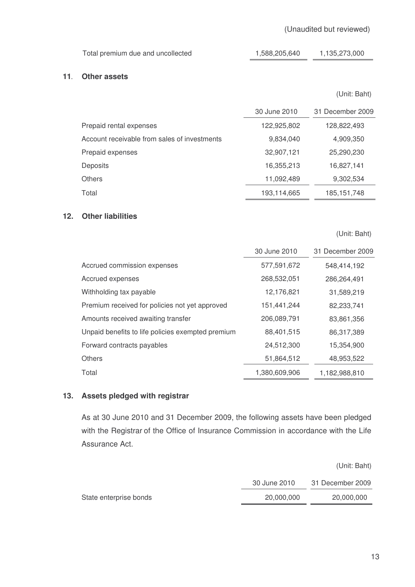| Total premium due and uncollected | 1,588,205,640 | 1,135,273,000 |
|-----------------------------------|---------------|---------------|
|                                   |               |               |

## **11**- **Other assets**

(Unit: Baht)

|                                              | 30 June 2010 | 31 December 2009 |
|----------------------------------------------|--------------|------------------|
| Prepaid rental expenses                      | 122,925,802  | 128,822,493      |
| Account receivable from sales of investments | 9,834,040    | 4,909,350        |
| Prepaid expenses                             | 32,907,121   | 25,290,230       |
| Deposits                                     | 16,355,213   | 16,827,141       |
| Others                                       | 11,092,489   | 9,302,534        |
| Total                                        | 193,114,665  | 185,151,748      |

## **12. Other liabilities**

(Unit: Baht)

|                                                   | 30 June 2010  | 31 December 2009 |
|---------------------------------------------------|---------------|------------------|
| Accrued commission expenses                       | 577,591,672   | 548,414,192      |
| Accrued expenses                                  | 268,532,051   | 286.264.491      |
| Withholding tax payable                           | 12,176,821    | 31,589,219       |
| Premium received for policies not yet approved    | 151,441,244   | 82,233,741       |
| Amounts received awaiting transfer                | 206,089,791   | 83,861,356       |
| Unpaid benefits to life policies exempted premium | 88,401,515    | 86,317,389       |
| Forward contracts payables                        | 24,512,300    | 15,354,900       |
| <b>Others</b>                                     | 51,864,512    | 48,953,522       |
| Total                                             | 1,380,609,906 | 1,182,988,810    |

## **13. Assets pledged with registrar**

As at 30 June 2010 and 31 December 2009, the following assets have been pledged with the Registrar of the Office of Insurance Commission in accordance with the Life Assurance Act.

|                        |              | (Unit: Baht)     |
|------------------------|--------------|------------------|
|                        | 30 June 2010 | 31 December 2009 |
| State enterprise bonds | 20,000,000   | 20,000,000       |
|                        |              |                  |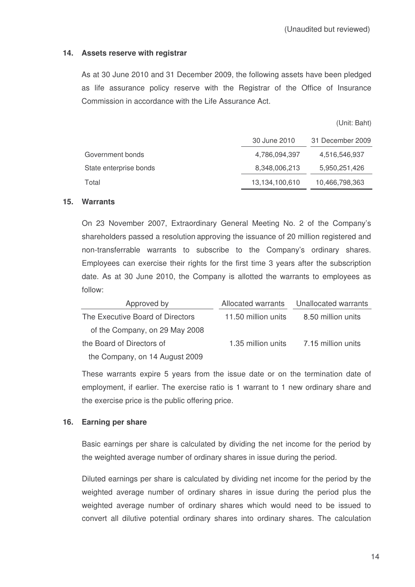## **14. Assets reserve with registrar**

As at 30 June 2010 and 31 December 2009, the following assets have been pledged as life assurance policy reserve with the Registrar of the Office of Insurance Commission in accordance with the Life Assurance Act.

(Unit: Baht)

|                        | 30 June 2010   | 31 December 2009 |
|------------------------|----------------|------------------|
| Government bonds       | 4,786,094,397  | 4,516,546,937    |
| State enterprise bonds | 8,348,006,213  | 5,950,251,426    |
| Total                  | 13,134,100,610 | 10,466,798,363   |

### **15. Warrants**

On 23 November 2007, Extraordinary General Meeting No. 2 of the Company's shareholders passed a resolution approving the issuance of 20 million registered and non-transferrable warrants to subscribe to the Company's ordinary shares. Employees can exercise their rights for the first time 3 years after the subscription date. As at 30 June 2010, the Company is allotted the warrants to employees as follow:

| Approved by                      | Allocated warrants  | Unallocated warrants |
|----------------------------------|---------------------|----------------------|
| The Executive Board of Directors | 11.50 million units | 8.50 million units   |
| of the Company, on 29 May 2008   |                     |                      |
| the Board of Directors of        | 1.35 million units  | 7.15 million units   |
| the Company, on 14 August 2009   |                     |                      |

These warrants expire 5 years from the issue date or on the termination date of employment, if earlier. The exercise ratio is 1 warrant to 1 new ordinary share and the exercise price is the public offering price.

## **16. Earning per share**

Basic earnings per share is calculated by dividing the net income for the period by the weighted average number of ordinary shares in issue during the period.

Diluted earnings per share is calculated by dividing net income for the period by the weighted average number of ordinary shares in issue during the period plus the weighted average number of ordinary shares which would need to be issued to convert all dilutive potential ordinary shares into ordinary shares. The calculation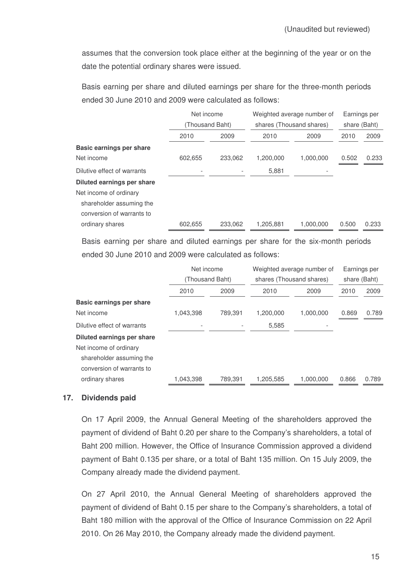assumes that the conversion took place either at the beginning of the year or on the date the potential ordinary shares were issued.

Basis earning per share and diluted earnings per share for the three-month periods ended 30 June 2010 and 2009 were calculated as follows:

|                             | Net income      |         |           | Weighted average number of |       | Earnings per |  |
|-----------------------------|-----------------|---------|-----------|----------------------------|-------|--------------|--|
|                             | (Thousand Baht) |         |           | shares (Thousand shares)   |       | share (Baht) |  |
|                             | 2010            | 2009    | 2010      | 2009                       | 2010  | 2009         |  |
| Basic earnings per share    |                 |         |           |                            |       |              |  |
| Net income                  | 602,655         | 233,062 | 1,200,000 | 1,000,000                  | 0.502 | 0.233        |  |
| Dilutive effect of warrants |                 |         | 5,881     |                            |       |              |  |
| Diluted earnings per share  |                 |         |           |                            |       |              |  |
| Net income of ordinary      |                 |         |           |                            |       |              |  |
| shareholder assuming the    |                 |         |           |                            |       |              |  |
| conversion of warrants to   |                 |         |           |                            |       |              |  |
| ordinary shares             | 602,655         | 233,062 | 1,205,881 | 1,000,000                  | 0.500 | 0.233        |  |

Basis earning per share and diluted earnings per share for the six-month periods ended 30 June 2010 and 2009 were calculated as follows:

|                             |                 | Net income |                          | Weighted average number of |              | Earnings per |  |
|-----------------------------|-----------------|------------|--------------------------|----------------------------|--------------|--------------|--|
|                             | (Thousand Baht) |            | shares (Thousand shares) |                            | share (Baht) |              |  |
|                             | 2010            | 2009       | 2010                     | 2009                       | 2010         | 2009         |  |
| Basic earnings per share    |                 |            |                          |                            |              |              |  |
| Net income                  | 1,043,398       | 789.391    | 1.200.000                | 1.000.000                  | 0.869        | 0.789        |  |
| Dilutive effect of warrants |                 |            | 5,585                    |                            |              |              |  |
| Diluted earnings per share  |                 |            |                          |                            |              |              |  |
| Net income of ordinary      |                 |            |                          |                            |              |              |  |
| shareholder assuming the    |                 |            |                          |                            |              |              |  |
| conversion of warrants to   |                 |            |                          |                            |              |              |  |
| ordinary shares             | 1,043,398       | 789.391    | 1.205.585                | 1.000.000                  | 0.866        | 0.789        |  |
|                             |                 |            |                          |                            |              |              |  |

## **17. Dividends paid**

On 17 April 2009, the Annual General Meeting of the shareholders approved the payment of dividend of Baht 0.20 per share to the Company's shareholders, a total of Baht 200 million. However, the Office of Insurance Commission approved a dividend payment of Baht 0.135 per share, or a total of Baht 135 million. On 15 July 2009, the Company already made the dividend payment.

On 27 April 2010, the Annual General Meeting of shareholders approved the payment of dividend of Baht 0.15 per share to the Company's shareholders, a total of Baht 180 million with the approval of the Office of Insurance Commission on 22 April 2010. On 26 May 2010, the Company already made the dividend payment.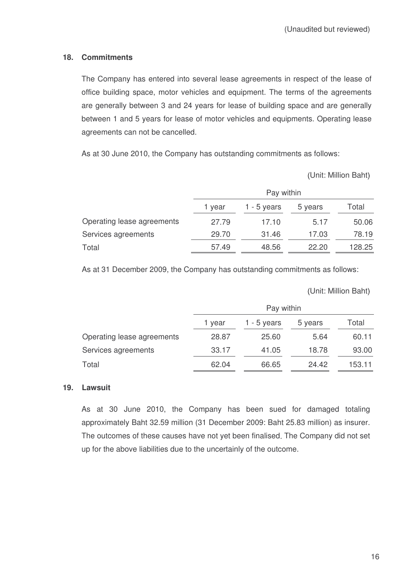## **18. Commitments**

The Company has entered into several lease agreements in respect of the lease of office building space, motor vehicles and equipment. The terms of the agreements are generally between 3 and 24 years for lease of building space and are generally between 1 and 5 years for lease of motor vehicles and equipments. Operating lease agreements can not be cancelled.

As at 30 June 2010, the Company has outstanding commitments as follows:

Unit: Million Baht

|                            | Pay within |             |         |        |  |
|----------------------------|------------|-------------|---------|--------|--|
|                            | 1 year     | 1 - 5 years | 5 years | Total  |  |
| Operating lease agreements | 27.79      | 17.10       | 5.17    | 50.06  |  |
| Services agreements        | 29.70      | 31.46       | 17.03   | 78.19  |  |
| Total                      | 57.49      | 48.56       | 22.20   | 128.25 |  |

As at 31 December 2009, the Company has outstanding commitments as follows:

Unit: Million Baht

|                            | Pay within |             |         |        |  |
|----------------------------|------------|-------------|---------|--------|--|
|                            | 1 year     | 1 - 5 years | 5 years | Total  |  |
| Operating lease agreements | 28.87      | 25.60       | 5.64    | 60.11  |  |
| Services agreements        | 33.17      | 41.05       | 18.78   | 93.00  |  |
| Total                      | 62.04      | 66.65       | 24.42   | 153.11 |  |

## **19. Lawsuit**

As at 30 June 2010, the Company has been sued for damaged totaling approximately Baht 32.59 million (31 December 2009: Baht 25.83 million) as insurer. The outcomes of these causes have not yet been finalised. The Company did not set up for the above liabilities due to the uncertainly of the outcome.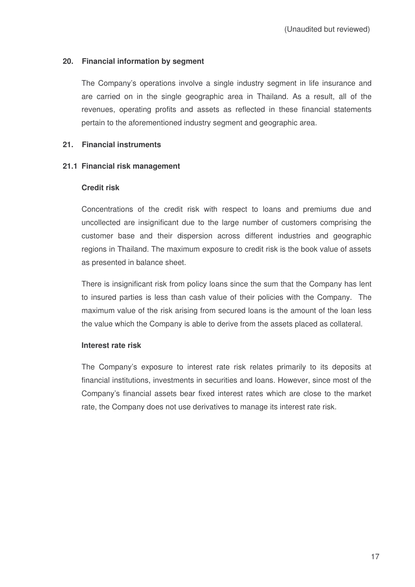## **20. Financial information by segment**

The Company's operations involve a single industry segment in life insurance and are carried on in the single geographic area in Thailand. As a result, all of the revenues, operating profits and assets as reflected in these financial statements pertain to the aforementioned industry segment and geographic area.

## **21. Financial instruments**

## **21.1 Financial risk management**

## **Credit risk**

Concentrations of the credit risk with respect to loans and premiums due and uncollected are insignificant due to the large number of customers comprising the customer base and their dispersion across different industries and geographic regions in Thailand. The maximum exposure to credit risk is the book value of assets as presented in balance sheet.

There is insignificant risk from policy loans since the sum that the Company has lent to insured parties is less than cash value of their policies with the Company. The maximum value of the risk arising from secured loans is the amount of the loan less the value which the Company is able to derive from the assets placed as collateral.

## **Interest rate risk**

The Company's exposure to interest rate risk relates primarily to its deposits at financial institutions, investments in securities and loans. However, since most of the Company's financial assets bear fixed interest rates which are close to the market rate, the Company does not use derivatives to manage its interest rate risk.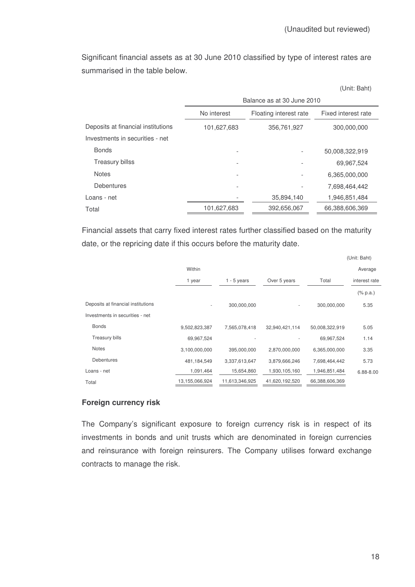Significant financial assets as at 30 June 2010 classified by type of interest rates are summarised in the table below.

(Unit: Baht)

|                                    | Balance as at 30 June 2010                   |                        |                     |  |  |
|------------------------------------|----------------------------------------------|------------------------|---------------------|--|--|
|                                    | No interest                                  | Floating interest rate | Fixed interest rate |  |  |
| Deposits at financial institutions | 101,627,683                                  | 356,761,927            | 300,000,000         |  |  |
| Investments in securities - net    |                                              |                        |                     |  |  |
| <b>Bonds</b>                       |                                              |                        | 50,008,322,919      |  |  |
| Treasury billss                    |                                              |                        | 69,967,524          |  |  |
| <b>Notes</b>                       |                                              |                        | 6,365,000,000       |  |  |
| <b>Debentures</b>                  |                                              |                        | 7,698,464,442       |  |  |
| Loans - net                        |                                              | 35,894,140             | 1,946,851,484       |  |  |
| Total                              | 66,388,606,369<br>101,627,683<br>392,656,067 |                        |                     |  |  |

Financial assets that carry fixed interest rates further classified based on the maturity date, or the repricing date if this occurs before the maturity date.

|                                    |                |                |                          |                | (Unit: Baht)  |
|------------------------------------|----------------|----------------|--------------------------|----------------|---------------|
|                                    | Within         |                |                          |                | Average       |
|                                    | 1 year         | $1 - 5$ years  | Over 5 years             | Total          | interest rate |
|                                    |                |                |                          |                | $(\%$ p.a.)   |
| Deposits at financial institutions | ٠              | 300,000,000    | $\overline{\phantom{a}}$ | 300,000,000    | 5.35          |
| Investments in securities - net    |                |                |                          |                |               |
| <b>Bonds</b>                       | 9,502,823,387  | 7,565,078,418  | 32,940,421,114           | 50,008,322,919 | 5.05          |
| <b>Treasury bills</b>              | 69,967,524     |                |                          | 69,967,524     | 1.14          |
| <b>Notes</b>                       | 3,100,000,000  | 395,000,000    | 2,870,000,000            | 6,365,000,000  | 3.35          |
| <b>Debentures</b>                  | 481, 184, 549  | 3,337,613,647  | 3,879,666,246            | 7,698,464,442  | 5.73          |
| Loans - net                        | 1,091,464      | 15,654,860     | 1,930,105,160            | 1,946,851,484  | 6.88-8.00     |
| Total                              | 13,155,066,924 | 11,613,346,925 | 41,620,192,520           | 66,388,606,369 |               |

## **Foreign currency risk**

The Company's significant exposure to foreign currency risk is in respect of its investments in bonds and unit trusts which are denominated in foreign currencies and reinsurance with foreign reinsurers. The Company utilises forward exchange contracts to manage the risk.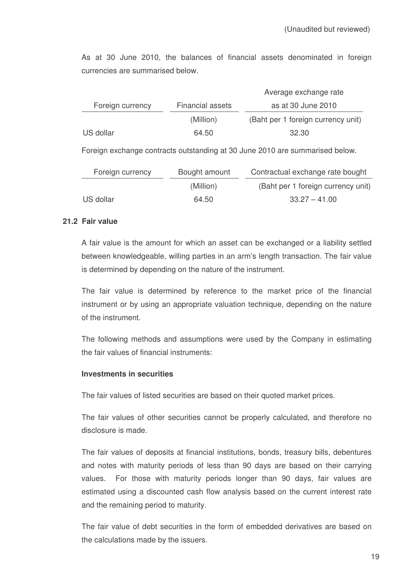As at 30 June 2010, the balances of financial assets denominated in foreign currencies are summarised below.

|                  |                         | Average exchange rate              |
|------------------|-------------------------|------------------------------------|
| Foreign currency | <b>Financial assets</b> | as at 30 June 2010                 |
|                  | (Million)               | (Baht per 1 foreign currency unit) |
| US dollar        | 64.50                   | 32.30                              |

Foreign exchange contracts outstanding at 30 June 2010 are summarised below.

| Foreign currency | Bought amount | Contractual exchange rate bought   |  |
|------------------|---------------|------------------------------------|--|
|                  | (Million)     | (Baht per 1 foreign currency unit) |  |
| US dollar        | 64.50         | $33.27 - 41.00$                    |  |

## **21.2 Fair value**

A fair value is the amount for which an asset can be exchanged or a liability settled between knowledgeable, willing parties in an arm's length transaction. The fair value is determined by depending on the nature of the instrument.

The fair value is determined by reference to the market price of the financial instrument or by using an appropriate valuation technique, depending on the nature of the instrument.

The following methods and assumptions were used by the Company in estimating the fair values of financial instruments:

## **Investments in securities**

The fair values of listed securities are based on their quoted market prices.

The fair values of other securities cannot be properly calculated, and therefore no disclosure is made.

The fair values of deposits at financial institutions, bonds, treasury bills, debentures and notes with maturity periods of less than 90 days are based on their carrying values. For those with maturity periods longer than 90 days, fair values are estimated using a discounted cash flow analysis based on the current interest rate and the remaining period to maturity.

The fair value of debt securities in the form of embedded derivatives are based on the calculations made by the issuers.